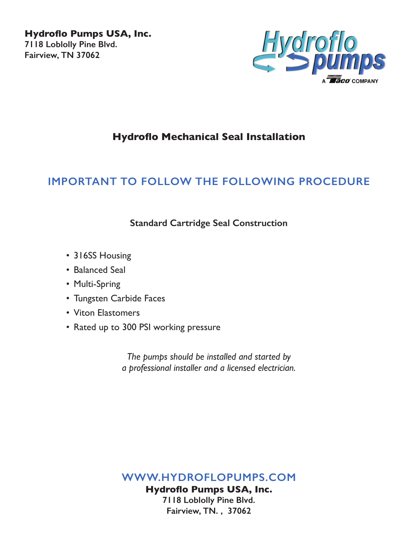**Hydroflo Pumps USA, Inc. 7118 Loblolly Pine Blvd. Fairview, TN 37062**



## **Hydroflo Mechanical Seal Installation**

## **IMPORTANT TO FOLLOW THE FOLLOWING PROCEDURE**

**Standard Cartridge Seal Construction**

- 316SS Housing
- Balanced Seal
- Multi-Spring
- Tungsten Carbide Faces
- Viton Elastomers
- Rated up to 300 PSI working pressure

*The pumps should be installed and started by a professional installer and a licensed electrician.*

**WWW.HYDROFLOPUMPS.COM**

**Hydroflo Pumps USA, Inc. 7118 Loblolly Pine Blvd. Fairview, TN. , 37062**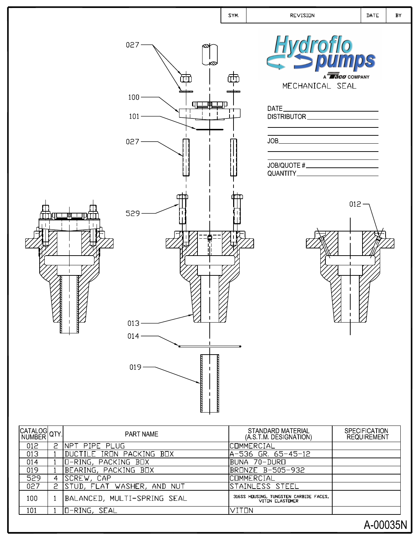

| CATALOG QTY |   | <b>PART NAME</b>            | STANDARD MATERIAL<br>(A S.T.M. DESIGNATION)               | <b>SPECIFICATION</b><br><b>REQUIREMENT</b> |
|-------------|---|-----------------------------|-----------------------------------------------------------|--------------------------------------------|
| 012         | 2 | INPT PIPE PLUG              | <b>COMMERCIAL</b>                                         |                                            |
| 013         |   | DUCTILE IRON PACKING BOX    | lA-536 GR, 65-45-12                                       |                                            |
| 014         |   | O-RING, PACKING BOX         | IBUNA 70-DURO                                             |                                            |
| 019         |   | BEARING, PACKING BOX        | BRONZE B-505-932                                          |                                            |
| 529         | 4 | SCREW, CAP                  | <b>COMMERCIAL</b>                                         |                                            |
| 027         | 2 | STUD, FLAT WASHER, AND NUT  | STAINLESS STEEL                                           |                                            |
| 100         |   | BALANCED, MULTI-SPRING SEAL | 316SS HOUSING, TUNGSTEN CARBIDE FACES,<br>VITON ELASTOMER |                                            |
| 101         |   | O-RING, SEAL                | VITON                                                     |                                            |
|             |   |                             |                                                           | A-00035N                                   |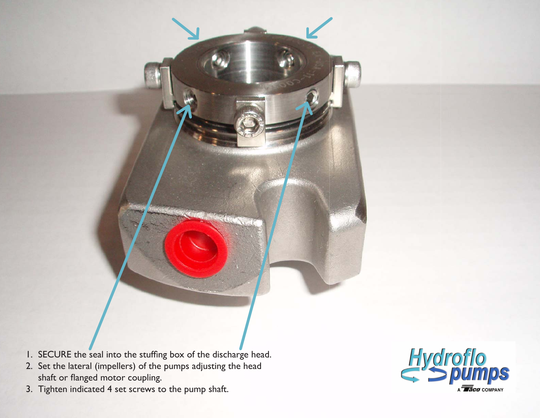- 1. SECURE the seal into the stuffing box of the discharge head.
- 2. Set the lateral (impellers) of the pumps adjusting the head shaft or flanged motor coupling.
- 3. Tighten indicated 4 set screws to the pump shaft.

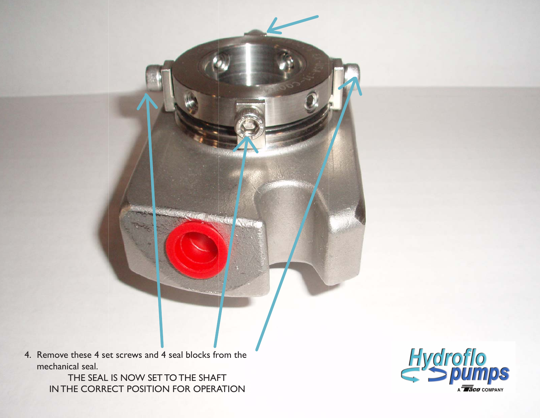4. Remove these 4 set screws and 4 seal blocks from the mechanical seal.

> THE SEAL IS NOW SET TO THE SHAFT INTHE CORRECT POSITION FOR OPERATION